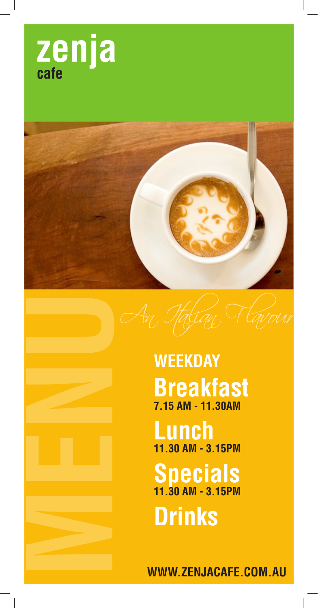





**Lunch 11.30 AM - 3.15PM**

# **Specials 11.30 AM - 3.15PM**

**Drinks**

**WWW.ZENJACAFE.COM.AU**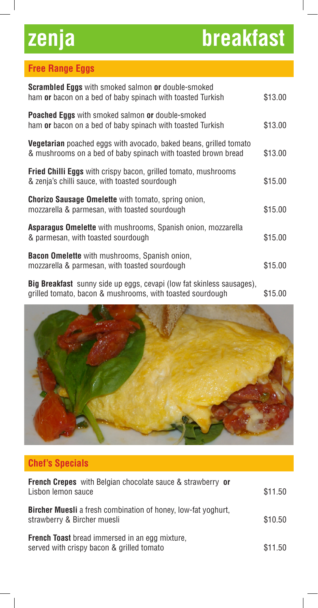# **zenja breakfast**

# **Free Range Eggs**

| <b>Scrambled Eggs</b> with smoked salmon or double-smoked<br>ham or bacon on a bed of baby spinach with toasted Turkish                   | \$13.00 |
|-------------------------------------------------------------------------------------------------------------------------------------------|---------|
| <b>Poached Eggs</b> with smoked salmon or double-smoked<br>ham or bacon on a bed of baby spinach with toasted Turkish                     | \$13.00 |
| <b>Vegetarian</b> poached eggs with avocado, baked beans, grilled tomato<br>& mushrooms on a bed of baby spinach with toasted brown bread | \$13.00 |
| <b>Fried Chilli Eggs</b> with crispy bacon, grilled tomato, mushrooms<br>& zenja's chilli sauce, with toasted sourdough                   | \$15.00 |
| <b>Chorizo Sausage Omelette</b> with tomato, spring onion,<br>mozzarella & parmesan, with toasted sourdough                               | \$15.00 |
| <b>Asparagus Omelette</b> with mushrooms, Spanish onion, mozzarella<br>& parmesan, with toasted sourdough                                 | \$15.00 |
| <b>Bacon Omelette</b> with mushrooms, Spanish onion,<br>mozzarella & parmesan, with toasted sourdough                                     | \$15.00 |
| <b>Big Breakfast</b> sunny side up eggs, cevapi (low fat skinless sausages),                                                              |         |

grilled tomato, bacon & mushrooms, with toasted sourdough \$15.00



# **Chef's Specials**

| <b>French Crepes</b> with Belgian chocolate sauce & strawberry or<br>Lisbon lemon sauce             | \$11.50 |
|-----------------------------------------------------------------------------------------------------|---------|
| <b>Bircher Muesli</b> a fresh combination of honey, low-fat yoghurt,<br>strawberry & Bircher muesli | \$10.50 |
| <b>French Toast</b> bread immersed in an egg mixture,<br>served with crispy bacon & grilled tomato  | \$11.50 |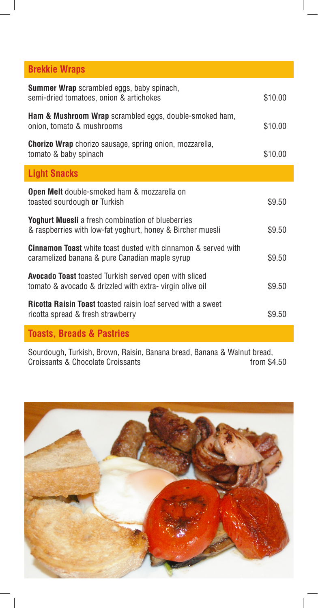# **Brekkie Wraps**

| <b>Summer Wrap</b> scrambled eggs, baby spinach,<br>semi-dried tomatoes, onion & artichokes                             | \$10.00 |
|-------------------------------------------------------------------------------------------------------------------------|---------|
| <b>Ham &amp; Mushroom Wrap</b> scrambled eggs, double-smoked ham,<br>onion, tomato & mushrooms                          | \$10.00 |
| <b>Chorizo Wrap</b> chorizo sausage, spring onion, mozzarella,<br>tomato & baby spinach                                 | \$10.00 |
| <b>Light Snacks</b>                                                                                                     |         |
| <b>Open Melt</b> double-smoked ham & mozzarella on<br>toasted sourdough or Turkish                                      | \$9.50  |
| <b>Yoghurt Muesli</b> a fresh combination of blueberries<br>& raspberries with low-fat yoghurt, honey & Bircher muesli  | \$9.50  |
| <b>Cinnamon Toast</b> white toast dusted with cinnamon & served with<br>caramelized banana & pure Canadian maple syrup  | \$9.50  |
| <b>Avocado Toast</b> toasted Turkish served open with sliced<br>tomato & avocado & drizzled with extra-virgin olive oil | \$9.50  |
| <b>Ricotta Raisin Toast</b> toasted raisin loaf served with a sweet<br>ricotta spread & fresh strawberry                | \$9.50  |
|                                                                                                                         |         |

### **Toasts, Breads & Pastries**

Sourdough, Turkish, Brown, Raisin, Banana bread, Banana & Walnut bread, Croissants & Chocolate Croissants

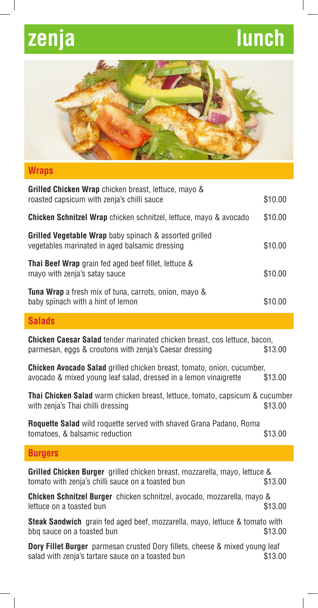# **zenja lunch**



### **Wraps**

| <b>Grilled Chicken Wrap</b> chicken breast, lettuce, mayo &<br>roasted capsicum with zenja's chilli sauce       | \$10.00 |
|-----------------------------------------------------------------------------------------------------------------|---------|
| <b>Chicken Schnitzel Wrap</b> chicken schnitzel, lettuce, mayo & avocado                                        | \$10.00 |
| <b>Grilled Vegetable Wrap</b> baby spinach & assorted grilled<br>vegetables marinated in aged balsamic dressing | \$10.00 |
| <b>Thai Beef Wrap</b> grain fed aged beef fillet, lettuce &<br>mayo with zenja's satay sauce                    | \$10.00 |
| <b>Tuna Wrap</b> a fresh mix of tuna, carrots, onion, mayo &<br>baby spinach with a hint of lemon               | \$10.00 |

### **Salads**

**Chicken Caesar Salad** tender marinated chicken breast, cos lettuce, bacon, parmesan, eggs & croutons with zenja's Caesar dressing \$13.00

**Chicken Avocado Salad** grilled chicken breast, tomato, onion, cucumber, avocado & mixed young leaf salad, dressed in a lemon vinaigrette \$13.00

**Thai Chicken Salad** warm chicken breast, lettuce, tomato, capsicum & cucumber with zenja's Thai chilli dressing by the same state of the state  $$13.00$ 

**Roquette Salad** wild roquette served with shaved Grana Padano, Roma tomatoes, & balsamic reduction  $$13.00$ 

### **Burgers**

| <b>Grilled Chicken Burger</b> grilled chicken breast, mozzarella, mayo, lettuce & |  |  |         |
|-----------------------------------------------------------------------------------|--|--|---------|
| tomato with zenja's chilli sauce on a toasted bun                                 |  |  | \$13.00 |

**Chicken Schnitzel Burger** chicken schnitzel, avocado, mozzarella, mayo & lettuce on a toasted bun **\$13.00** bundle to the state of the state  $$13.00$ 

**Steak Sandwich** grain fed aged beef, mozzarella, mayo, lettuce & tomato with bbq sauce on a toasted bun  $$13.00$ 

**Dory Fillet Burger** parmesan crusted Dory fillets, cheese & mixed young leaf salad with zenja's tartare sauce on a toasted bun \$13.00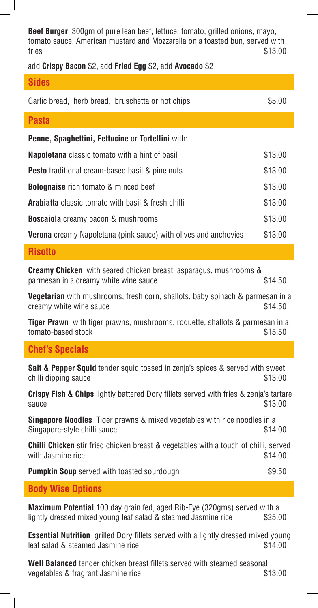**Beef Burger** 300gm of pure lean beef, lettuce, tomato, grilled onions, mayo, tomato sauce, American mustard and Mozzarella on a toasted bun, served with  $\frac{\$13.00}{\$13.00}$ 

add **Crispy Bacon** \$2, add **Fried Egg** \$2, add **Avocado** \$2

| <b>Sides</b>                                                           |         |
|------------------------------------------------------------------------|---------|
| Garlic bread, herb bread, bruschetta or hot chips                      | \$5.00  |
| <b>Pasta</b>                                                           |         |
| <b>Penne, Spaghettini, Fettucine or Tortellini</b> with:               |         |
| <b>Napoletana</b> classic tomato with a hint of basil                  | \$13.00 |
| <b>Pesto</b> traditional cream-based basil & pine nuts                 | \$13.00 |
| <b>Bolognaise</b> rich tomato & minced beef                            | \$13.00 |
| <b>Arabiatta</b> classic tomato with basil & fresh chilli              | \$13.00 |
| <b>Boscaiola</b> creamy bacon & mushrooms                              | \$13.00 |
| <b>Verona</b> creamy Napoletana (pink sauce) with olives and anchovies | \$13.00 |

### **Risotto**

**Creamy Chicken** with seared chicken breast, asparagus, mushrooms & parmesan in a creamy white wine sauce  $$14.50$ 

**Vegetarian** with mushrooms, fresh corn, shallots, baby spinach & parmesan in a creamy white wine sauce  $$14.50$ 

**Tiger Prawn** with tiger prawns, mushrooms, roquette, shallots & parmesan in a tomato-based stock  $$15.50$ 

### **Chef's Specials**

**Salt & Pepper Squid** tender squid tossed in zenja's spices & served with sweet chilli dipping sauce \$13.00

**Crispy Fish & Chips** lightly battered Dory fillets served with fries & zenja's tartare  $\text{square}$  \$13.00

**Singapore Noodles** Tiger prawns & mixed vegetables with rice noodles in a Singapore-style chilli sauce  $$14.00$ 

**Chilli Chicken** stir fried chicken breast & vegetables with a touch of chilli, served with Jasmine rice \$14.00

**Pumpkin Soup** served with toasted sourdough  $$9.50$ 

### **Body Wise Options**

**Maximum Potential** 100 day grain fed, aged Rib-Eye (320gms) served with a lightly dressed mixed young leaf salad & steamed Jasmine rice \$25.00

**Essential Nutrition** grilled Dory fillets served with a lightly dressed mixed young leaf salad & steamed Jasmine rice \$14.00

**Well Balanced** tender chicken breast fillets served with steamed seasonal vegetables & fragrant Jasmine rice  $$13.00$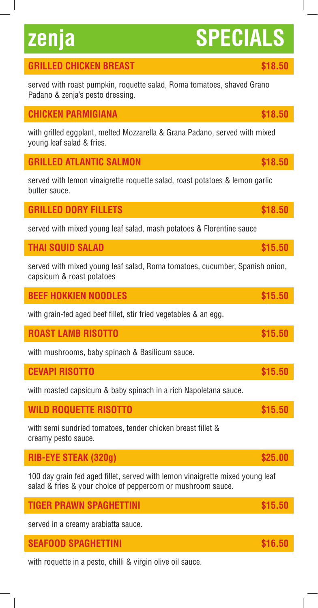# **zenja SPECIALS**

# **GRILLED CHICKEN BREAST 518.50**

served with roast pumpkin, roquette salad, Roma tomatoes, shaved Grano Padano & zenja's pesto dressing.

## **CHICKEN PARMIGIANA \$18.50**

with grilled eggplant, melted Mozzarella & Grana Padano, served with mixed young leaf salad & fries.

**GRILLED ATLANTIC SALMON** *<b>S18.50* **\$18.50** 

served with lemon vinaigrette roquette salad, roast potatoes & lemon garlic butter sauce.

## **GRILLED DORY FILLETS \$18.50**

served with mixed young leaf salad, mash potatoes & Florentine sauce

## **THAI SQUID SALAD \$15.50**

served with mixed young leaf salad, Roma tomatoes, cucumber, Spanish onion, capsicum & roast potatoes

| <b>BEEF HOKKIEN NOODLES</b>                                      | \$15.50 |
|------------------------------------------------------------------|---------|
| with grain-fed aged beef fillet, stir fried vegetables & an egg. |         |
| <b>ROAST LAMB RISOTTO</b>                                        | \$15.50 |
| with mushrooms, baby spinach & Basilicum sauce.                  |         |

| <b>CEVAPI RISOTTO</b> |  |
|-----------------------|--|
|                       |  |

with roasted capsicum & baby spinach in a rich Napoletana sauce.

| <b>WILD ROQUETTE RISOTTO</b> | \$15.50 |
|------------------------------|---------|
|                              |         |

with semi sundried tomatoes, tender chicken breast fillet & creamy pesto sauce.

# **RIB-EYE STEAK (320g)** \$25.00

100 day grain fed aged fillet, served with lemon vinaigrette mixed young leaf salad & fries & your choice of peppercorn or mushroom sauce.

| <b>TIGER PRAWN SPAGHETTINI</b> | \$15.50 |
|--------------------------------|---------|
|                                |         |

served in a creamy arabiatta sauce.

## **SEAFOOD SPAGHETTINI \$16.50**

with roquette in a pesto, chilli & virgin olive oil sauce.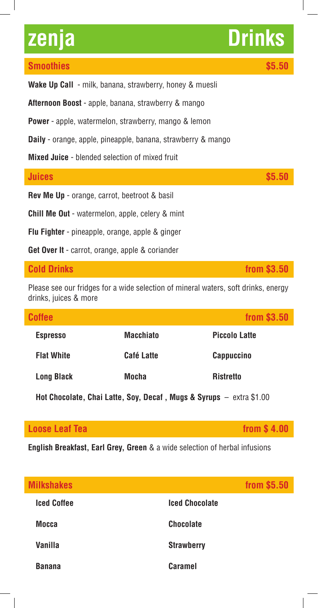### **Smoothies \$5.50**

**Afternoon Boost** - apple, banana, strawberry & mango

**Power** - apple, watermelon, strawberry, mango & lemon

**Daily** - orange, apple, pineapple, banana, strawberry & mango

**Mixed Juice** - blended selection of mixed fruit

| Juices                                                 | \$5.50 |
|--------------------------------------------------------|--------|
| <b>Rev Me Up</b> - orange, carrot, beetroot & basil    |        |
| <b>Chill Me Out</b> - watermelon, apple, celery & mint |        |
| <b>Flu Fighter</b> - pineapple, orange, apple & ginger |        |

**Get Over It** - carrot, orange, apple & coriander

Please see our fridges for a wide selection of mineral waters, soft drinks, energy drinks, juices & more

| <b>Coffee</b>     |                  | from \$3.50          |
|-------------------|------------------|----------------------|
| <b>Espresso</b>   | <b>Macchiato</b> | <b>Piccolo Latte</b> |
| <b>Flat White</b> | Café Latte       | <b>Cappuccino</b>    |
| <b>Long Black</b> | <b>Mocha</b>     | <b>Ristretto</b>     |

**Hot Chocolate, Chai Latte, Soy, Decaf, Mugs & Syrups – extra \$1.00** 

### **Loose Leaf Tea from \$ 4.00**

**English Breakfast, Earl Grey, Green** & a wide selection of herbal infusions

| <b>Milkshakes</b>  |                       | from \$5.50 |
|--------------------|-----------------------|-------------|
| <b>Iced Coffee</b> | <b>Iced Chocolate</b> |             |
| <b>Mocca</b>       | <b>Chocolate</b>      |             |
| <b>Vanilla</b>     | <b>Strawberry</b>     |             |
| <b>Banana</b>      | <b>Caramel</b>        |             |

**Cold Drinks** *Cold Drinks Cold Drinks Cold Drinks Cold Drinks Cold Drinks Cold Drinks Cold Drinks Cold Drinks Cold Drinks Cold Drinks Cold Drinks Cold Drinks Cold Drinks*

# **zenja Drinks**